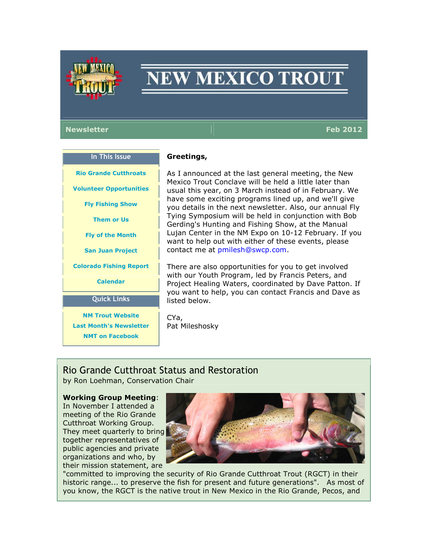

# **NEW MEXICO TROUT**

#### Newsletter Feb 2012 – The Second Second Second Second Second Second Second Second Second Second Second Second S

In This Issue Rio Grande Cutthroats Volunteer Opportunities Fly Fishing Show Them or Us Fly of the Month San Juan Project Colorado Fishing Report Calendar Quick Links NM Trout Website

#### Greetings,

As I announced at the last general meeting, the New Mexico Trout Conclave will be held a little later than usual this year, on 3 March instead of in February. We have some exciting programs lined up, and we'll give you details in the next newsletter. Also, our annual Fly Tying Symposium will be held in conjunction with Bob Gerding's Hunting and Fishing Show, at the Manual Lujan Center in the NM Expo on 10-12 February. If you want to help out with either of these events, please contact me at pmilesh@swcp.com.

There are also opportunities for you to get involved with our Youth Program, led by Francis Peters, and Project Healing Waters, coordinated by Dave Patton. If you want to help, you can contact Francis and Dave as listed below.

Last Month's Newsletter

CYa, Pat Mileshosky

# Rio Grande Cutthroat Status and Restoration

by Ron Loehman, Conservation Chair

#### Working Group Meeting:

NMT on Facebook

In November I attended a meeting of the Rio Grande Cutthroat Working Group. They meet quarterly to bring together representatives of public agencies and private organizations and who, by their mission statement, are



"committed to improving the security of Rio Grande Cutthroat Trout (RGCT) in their historic range... to preserve the fish for present and future generations". As most of you know, the RGCT is the native trout in New Mexico in the Rio Grande, Pecos, and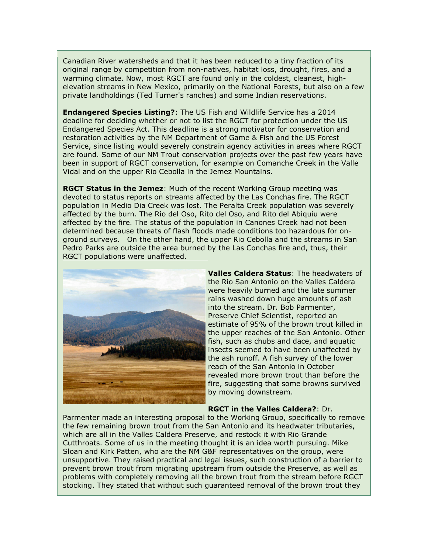Canadian River watersheds and that it has been reduced to a tiny fraction of its original range by competition from non-natives, habitat loss, drought, fires, and a warming climate. Now, most RGCT are found only in the coldest, cleanest, highelevation streams in New Mexico, primarily on the National Forests, but also on a few private landholdings (Ted Turner's ranches) and some Indian reservations.

Endangered Species Listing?: The US Fish and Wildlife Service has a 2014 deadline for deciding whether or not to list the RGCT for protection under the US Endangered Species Act. This deadline is a strong motivator for conservation and restoration activities by the NM Department of Game & Fish and the US Forest Service, since listing would severely constrain agency activities in areas where RGCT are found. Some of our NM Trout conservation projects over the past few years have been in support of RGCT conservation, for example on Comanche Creek in the Valle Vidal and on the upper Rio Cebolla in the Jemez Mountains.

**RGCT Status in the Jemez:** Much of the recent Working Group meeting was devoted to status reports on streams affected by the Las Conchas fire. The RGCT population in Medio Dia Creek was lost. The Peralta Creek population was severely affected by the burn. The Rio del Oso, Rito del Oso, and Rito del Abiquiu were affected by the fire. The status of the population in Canones Creek had not been determined because threats of flash floods made conditions too hazardous for onground surveys. On the other hand, the upper Rio Cebolla and the streams in San Pedro Parks are outside the area burned by the Las Conchas fire and, thus, their RGCT populations were unaffected.



Valles Caldera Status: The headwaters of the Rio San Antonio on the Valles Caldera were heavily burned and the late summer rains washed down huge amounts of ash into the stream. Dr. Bob Parmenter, Preserve Chief Scientist, reported an estimate of 95% of the brown trout killed in the upper reaches of the San Antonio. Other fish, such as chubs and dace, and aquatic insects seemed to have been unaffected by the ash runoff. A fish survey of the lower reach of the San Antonio in October revealed more brown trout than before the fire, suggesting that some browns survived by moving downstream.

#### RGCT in the Valles Caldera?: Dr.

Parmenter made an interesting proposal to the Working Group, specifically to remove the few remaining brown trout from the San Antonio and its headwater tributaries, which are all in the Valles Caldera Preserve, and restock it with Rio Grande Cutthroats. Some of us in the meeting thought it is an idea worth pursuing. Mike Sloan and Kirk Patten, who are the NM G&F representatives on the group, were unsupportive. They raised practical and legal issues, such construction of a barrier to prevent brown trout from migrating upstream from outside the Preserve, as well as problems with completely removing all the brown trout from the stream before RGCT stocking. They stated that without such guaranteed removal of the brown trout they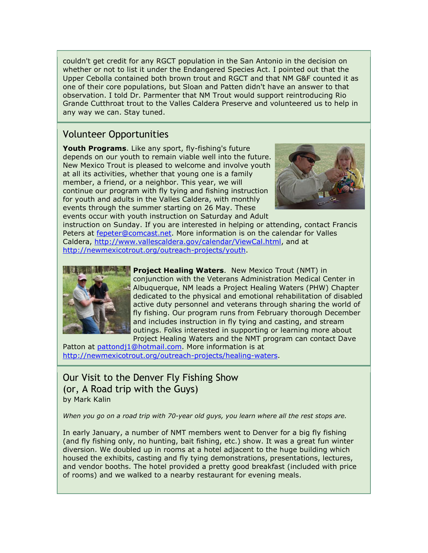couldn't get credit for any RGCT population in the San Antonio in the decision on whether or not to list it under the Endangered Species Act. I pointed out that the Upper Cebolla contained both brown trout and RGCT and that NM G&F counted it as one of their core populations, but Sloan and Patten didn't have an answer to that observation. I told Dr. Parmenter that NM Trout would support reintroducing Rio Grande Cutthroat trout to the Valles Caldera Preserve and volunteered us to help in any way we can. Stay tuned.

# Volunteer Opportunities

Youth Programs. Like any sport, fly-fishing's future depends on our youth to remain viable well into the future. New Mexico Trout is pleased to welcome and involve youth at all its activities, whether that young one is a family member, a friend, or a neighbor. This year, we will continue our program with fly tying and fishing instruction for youth and adults in the Valles Caldera, with monthly events through the summer starting on 26 May. These events occur with youth instruction on Saturday and Adult



instruction on Sunday. If you are interested in helping or attending, contact Francis Peters at fepeter@comcast.net. More information is on the calendar for Valles Caldera, http://www.vallescaldera.gov/calendar/ViewCal.html, and at http://newmexicotrout.org/outreach-projects/youth.



**Project Healing Waters.** New Mexico Trout (NMT) in conjunction with the Veterans Administration Medical Center in Albuquerque, NM leads a Project Healing Waters (PHW) Chapter dedicated to the physical and emotional rehabilitation of disabled active duty personnel and veterans through sharing the world of fly fishing. Our program runs from February thorough December and includes instruction in fly tying and casting, and stream outings. Folks interested in supporting or learning more about Project Healing Waters and the NMT program can contact Dave

Patton at pattondj1@hotmail.com. More information is at http://newmexicotrout.org/outreach-projects/healing-waters.

# Our Visit to the Denver Fly Fishing Show (or, A Road trip with the Guys) by Mark Kalin

When you go on a road trip with 70-year old guys, you learn where all the rest stops are.

In early January, a number of NMT members went to Denver for a big fly fishing (and fly fishing only, no hunting, bait fishing, etc.) show. It was a great fun winter diversion. We doubled up in rooms at a hotel adjacent to the huge building which housed the exhibits, casting and fly tying demonstrations, presentations, lectures, and vendor booths. The hotel provided a pretty good breakfast (included with price of rooms) and we walked to a nearby restaurant for evening meals.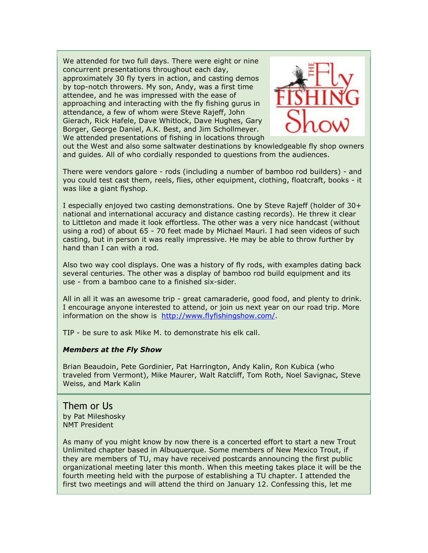We attended for two full days. There were eight or nine concurrent presentations throughout each day, approximately 30 fly tyers in action, and casting demos by top-notch throwers. My son, Andy, was a first time attendee, and he was impressed with the ease of approaching and interacting with the fly fishing gurus in attendance, a few of whom were Steve Rajeff, John Gierach, Rick Hafele, Dave Whitlock, Dave Hughes, Gary Borger, George Daniel, A.K. Best, and Jim Schollmeyer. We attended presentations of fishing in locations through



out the West and also some saltwater destinations by knowledgeable fly shop owners and guides. All of who cordially responded to questions from the audiences.

There were vendors galore - rods (including a number of bamboo rod builders) - and you could test cast them, reels, flies, other equipment, clothing, floatcraft, books - it was like a giant flyshop.

I especially enjoyed two casting demonstrations. One by Steve Rajeff (holder of 30+ national and international accuracy and distance casting records). He threw it clear to Littleton and made it look effortless. The other was a very nice handcast (without using a rod) of about 65 - 70 feet made by Michael Mauri. I had seen videos of such casting, but in person it was really impressive. He may be able to throw further by hand than I can with a rod.

Also two way cool displays. One was a history of fly rods, with examples dating back several centuries. The other was a display of bamboo rod build equipment and its use - from a bamboo cane to a finished six-sider.

All in all it was an awesome trip - great camaraderie, good food, and plenty to drink. I encourage anyone interested to attend, or join us next year on our road trip. More information on the show is http://www.flyfishingshow.com/.

TIP - be sure to ask Mike M. to demonstrate his elk call.

#### Members at the Fly Show

Brian Beaudoin, Pete Gordinier, Pat Harrington, Andy Kalin, Ron Kubica (who traveled from Vermont), Mike Maurer, Walt Ratcliff, Tom Roth, Noel Savignac, Steve Weiss, and Mark Kalin

#### Them or Us by Pat Mileshosky NMT President

As many of you might know by now there is a concerted effort to start a new Trout Unlimited chapter based in Albuquerque. Some members of New Mexico Trout, if they are members of TU, may have received postcards announcing the first public organizational meeting later this month. When this meeting takes place it will be the fourth meeting held with the purpose of establishing a TU chapter. I attended the first two meetings and will attend the third on January 12. Confessing this, let me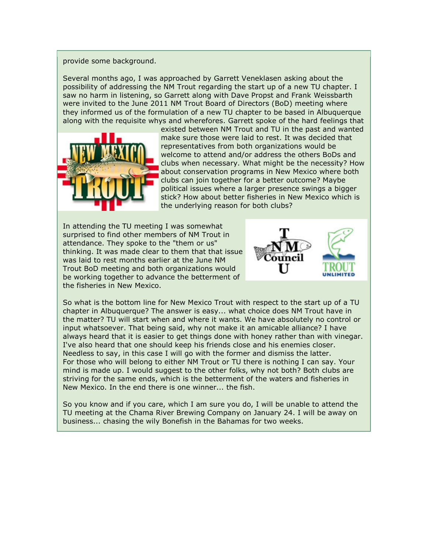provide some background.

Several months ago, I was approached by Garrett Veneklasen asking about the possibility of addressing the NM Trout regarding the start up of a new TU chapter. I saw no harm in listening, so Garrett along with Dave Propst and Frank Weissbarth were invited to the June 2011 NM Trout Board of Directors (BoD) meeting where they informed us of the formulation of a new TU chapter to be based in Albuquerque along with the requisite whys and wherefores. Garrett spoke of the hard feelings that



existed between NM Trout and TU in the past and wanted make sure those were laid to rest. It was decided that representatives from both organizations would be welcome to attend and/or address the others BoDs and clubs when necessary. What might be the necessity? How about conservation programs in New Mexico where both clubs can join together for a better outcome? Maybe political issues where a larger presence swings a bigger stick? How about better fisheries in New Mexico which is the underlying reason for both clubs?

In attending the TU meeting I was somewhat surprised to find other members of NM Trout in attendance. They spoke to the "them or us" thinking. It was made clear to them that that issue was laid to rest months earlier at the June NM Trout BoD meeting and both organizations would be working together to advance the betterment of the fisheries in New Mexico.



So what is the bottom line for New Mexico Trout with respect to the start up of a TU chapter in Albuquerque? The answer is easy... what choice does NM Trout have in the matter? TU will start when and where it wants. We have absolutely no control or input whatsoever. That being said, why not make it an amicable alliance? I have always heard that it is easier to get things done with honey rather than with vinegar. I've also heard that one should keep his friends close and his enemies closer. Needless to say, in this case I will go with the former and dismiss the latter. For those who will belong to either NM Trout or TU there is nothing I can say. Your mind is made up. I would suggest to the other folks, why not both? Both clubs are striving for the same ends, which is the betterment of the waters and fisheries in New Mexico. In the end there is one winner... the fish.

So you know and if you care, which I am sure you do, I will be unable to attend the TU meeting at the Chama River Brewing Company on January 24. I will be away on business... chasing the wily Bonefish in the Bahamas for two weeks.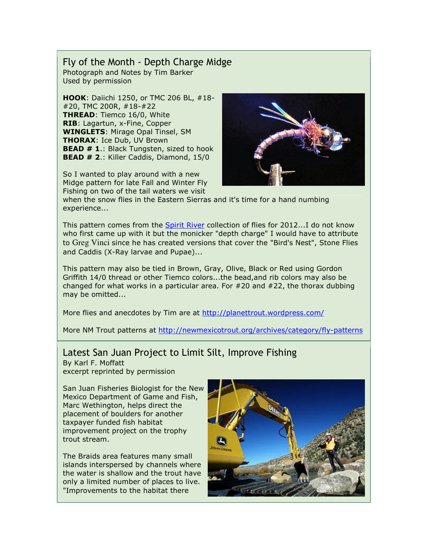#### Fly of the Month - Depth Charge Midge Photograph and Notes by Tim Barker Used by permission

HOOK: Daiichi 1250, or TMC 206 BL, #18- #20, TMC 200R, #18-#22 THREAD: Tiemco 16/0, White RIB: Lagartun, x-Fine, Copper WINGLETS: Mirage Opal Tinsel, SM **THORAX: Ice Dub, UV Brown BEAD # 1.: Black Tungsten, sized to hook** BEAD # 2.: Killer Caddis, Diamond, 15/0

So I wanted to play around with a new Midge pattern for late Fall and Winter Fly Fishing on two of the tail waters we visit



when the snow flies in the Eastern Sierras and it's time for a hand numbing experience...

This pattern comes from the Spirit River collection of flies for 2012...I do not know who first came up with it but the monicker "depth charge" I would have to attribute to Greg Vinci since he has created versions that cover the "Bird's Nest", Stone Flies and Caddis (X-Ray larvae and Pupae)...

This pattern may also be tied in Brown, Gray, Olive, Black or Red using Gordon Griffith 14/0 thread or other Tiemco colors...the bead,and rib colors may also be changed for what works in a particular area. For #20 and #22, the thorax dubbing may be omitted...

More flies and anecdotes by Tim are at http://planettrout.wordpress.com/

More NM Trout patterns at http://newmexicotrout.org/archives/category/fly-patterns

# Latest San Juan Project to Limit Silt, Improve Fishing

By Karl F. Moffatt excerpt reprinted by permission

San Juan Fisheries Biologist for the New Mexico Department of Game and Fish, Marc Wethington, helps direct the placement of boulders for another taxpayer funded fish habitat improvement project on the trophy trout stream.

The Braids area features many small islands interspersed by channels where the water is shallow and the trout have only a limited number of places to live. "Improvements to the habitat there

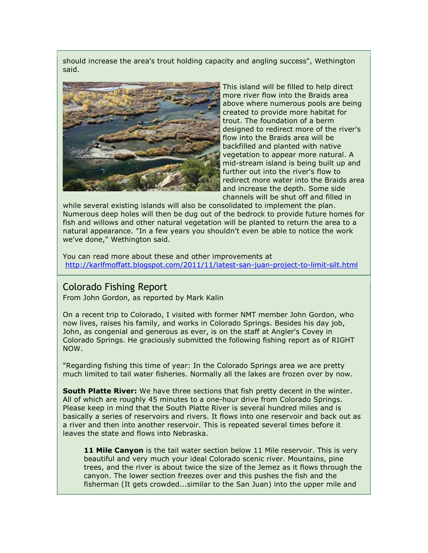should increase the area's trout holding capacity and angling success", Wethington said.



This island will be filled to help direct more river flow into the Braids area above where numerous pools are being created to provide more habitat for trout. The foundation of a berm designed to redirect more of the river's flow into the Braids area will be backfilled and planted with native vegetation to appear more natural. A mid-stream island is being built up and further out into the river's flow to redirect more water into the Braids area and increase the depth. Some side channels will be shut off and filled in

while several existing islands will also be consolidated to implement the plan. Numerous deep holes will then be dug out of the bedrock to provide future homes for fish and willows and other natural vegetation will be planted to return the area to a natural appearance. "In a few years you shouldn't even be able to notice the work we've done," Wethington said.

You can read more about these and other improvements at http://karlfmoffatt.blogspot.com/2011/11/latest-san-juan-project-to-limit-silt.html

#### Colorado Fishing Report

From John Gordon, as reported by Mark Kalin

On a recent trip to Colorado, I visited with former NMT member John Gordon, who now lives, raises his family, and works in Colorado Springs. Besides his day job, John, as congenial and generous as ever, is on the staff at Angler's Covey in Colorado Springs. He graciously submitted the following fishing report as of RIGHT NOW.

"Regarding fishing this time of year: In the Colorado Springs area we are pretty much limited to tail water fisheries. Normally all the lakes are frozen over by now.

**South Platte River:** We have three sections that fish pretty decent in the winter. All of which are roughly 45 minutes to a one-hour drive from Colorado Springs. Please keep in mind that the South Platte River is several hundred miles and is basically a series of reservoirs and rivers. It flows into one reservoir and back out as a river and then into another reservoir. This is repeated several times before it leaves the state and flows into Nebraska.

**11 Mile Canyon** is the tail water section below 11 Mile reservoir. This is very beautiful and very much your ideal Colorado scenic river. Mountains, pine trees, and the river is about twice the size of the Jemez as it flows through the canyon. The lower section freezes over and this pushes the fish and the fisherman (It gets crowded...similar to the San Juan) into the upper mile and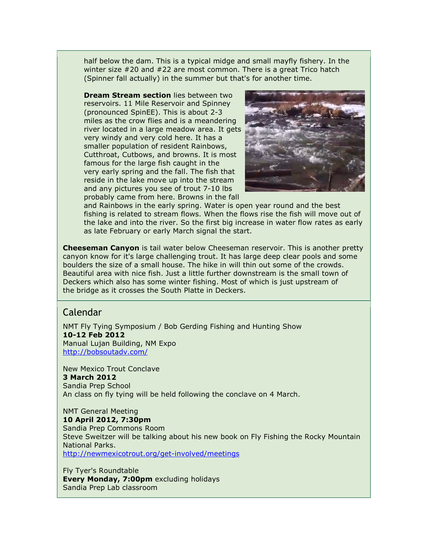half below the dam. This is a typical midge and small mayfly fishery. In the winter size #20 and #22 are most common. There is a great Trico hatch (Spinner fall actually) in the summer but that's for another time.

**Dream Stream section** lies between two reservoirs. 11 Mile Reservoir and Spinney (pronounced SpinEE). This is about 2-3 miles as the crow flies and is a meandering river located in a large meadow area. It gets very windy and very cold here. It has a smaller population of resident Rainbows, Cutthroat, Cutbows, and browns. It is most famous for the large fish caught in the very early spring and the fall. The fish that reside in the lake move up into the stream and any pictures you see of trout 7-10 lbs probably came from here. Browns in the fall



and Rainbows in the early spring. Water is open year round and the best fishing is related to stream flows. When the flows rise the fish will move out of the lake and into the river. So the first big increase in water flow rates as early as late February or early March signal the start.

**Cheeseman Canyon** is tail water below Cheeseman reservoir. This is another pretty canyon know for it's large challenging trout. It has large deep clear pools and some boulders the size of a small house. The hike in will thin out some of the crowds. Beautiful area with nice fish. Just a little further downstream is the small town of Deckers which also has some winter fishing. Most of which is just upstream of the bridge as it crosses the South Platte in Deckers.

### Calendar

NMT Fly Tying Symposium / Bob Gerding Fishing and Hunting Show 10-12 Feb 2012 Manual Lujan Building, NM Expo http://bobsoutadv.com/

New Mexico Trout Conclave 3 March 2012 Sandia Prep School An class on fly tying will be held following the conclave on 4 March.

NMT General Meeting 10 April 2012, 7:30pm Sandia Prep Commons Room Steve Sweitzer will be talking about his new book on Fly Fishing the Rocky Mountain National Parks. http://newmexicotrout.org/get-involved/meetings

Fly Tyer's Roundtable Every Monday, 7:00pm excluding holidays Sandia Prep Lab classroom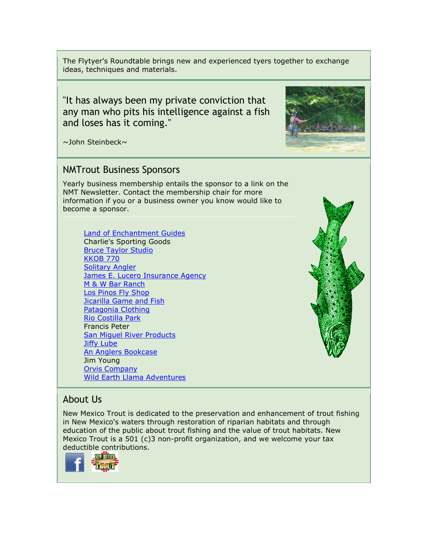The Flytyer's Roundtable brings new and experienced tyers together to exchange ideas, techniques and materials.

"It has always been my private conviction that any man who pits his intelligence against a fish and loses has it coming."

~John Steinbeck~

# NMTrout Business Sponsors

Yearly business membership entails the sponsor to a link on the NMT Newsletter. Contact the membership chair for more information if you or a business owner you know would like to become a sponsor.

**Land of Enchantment Guides** Charlie's Sporting Goods Bruce Taylor Studio KKOB 770 Solitary Angler **James E. Lucero Insurance Agency** M & W Bar Ranch Los Pinos Fly Shop **Jicarilla Game and Fish** Patagonia Clothing Rio Costilla Park Francis Peter San Miguel River Products Jiffy Lube An Anglers Bookcase Jim Young Orvis Company Wild Earth Llama Adventures



# About Us

New Mexico Trout is dedicated to the preservation and enhancement of trout fishing in New Mexico's waters through restoration of riparian habitats and through education of the public about trout fishing and the value of trout habitats. New Mexico Trout is a 501 (c)3 non-profit organization, and we welcome your tax deductible contributions.